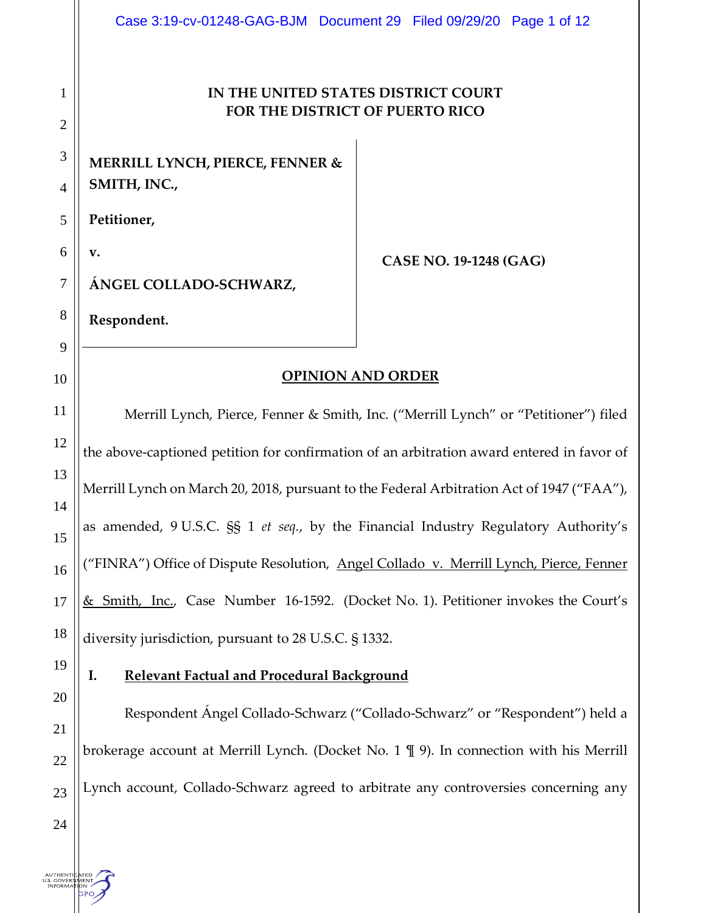#### **IN THE UNITED STATES DISTRICT COURT FOR THE DISTRICT OF PUERTO RICO**

**MERRILL LYNCH, PIERCE, FENNER & SMITH, INC.,**

5 **Petitioner,** 

6 **v.**

1

2

3

4

7

8

9

10

11

12

13

14

15

16

17

18

**CASE NO. 19-1248 (GAG)** 

**ÁNGEL COLLADO-SCHWARZ,**

**Respondent.**

#### **OPINION AND ORDER**

Merrill Lynch, Pierce, Fenner & Smith, Inc. ("Merrill Lynch" or "Petitioner") filed the above-captioned petition for confirmation of an arbitration award entered in favor of Merrill Lynch on March 20, 2018, pursuant to the Federal Arbitration Act of 1947 ("FAA"), as amended, 9 U.S.C. §§ 1 *et seq.*, by the Financial Industry Regulatory Authority's ("FINRA") Office of Dispute Resolution, Angel Collado v. Merrill Lynch, Pierce, Fenner & Smith, Inc., Case Number 16-1592. (Docket No. 1). Petitioner invokes the Court's diversity jurisdiction, pursuant to 28 U.S.C. § 1332.

19

20

21

22

23

#### **I. Relevant Factual and Procedural Background**

Respondent Ángel Collado-Schwarz ("Collado-Schwarz" or "Respondent") held a brokerage account at Merrill Lynch. (Docket No. 1 ¶ 9). In connection with his Merrill Lynch account, Collado-Schwarz agreed to arbitrate any controversies concerning any

24

AUTHENTICATED<br>U.S. GOVERNMENT<br>- INFORMATION

**PO**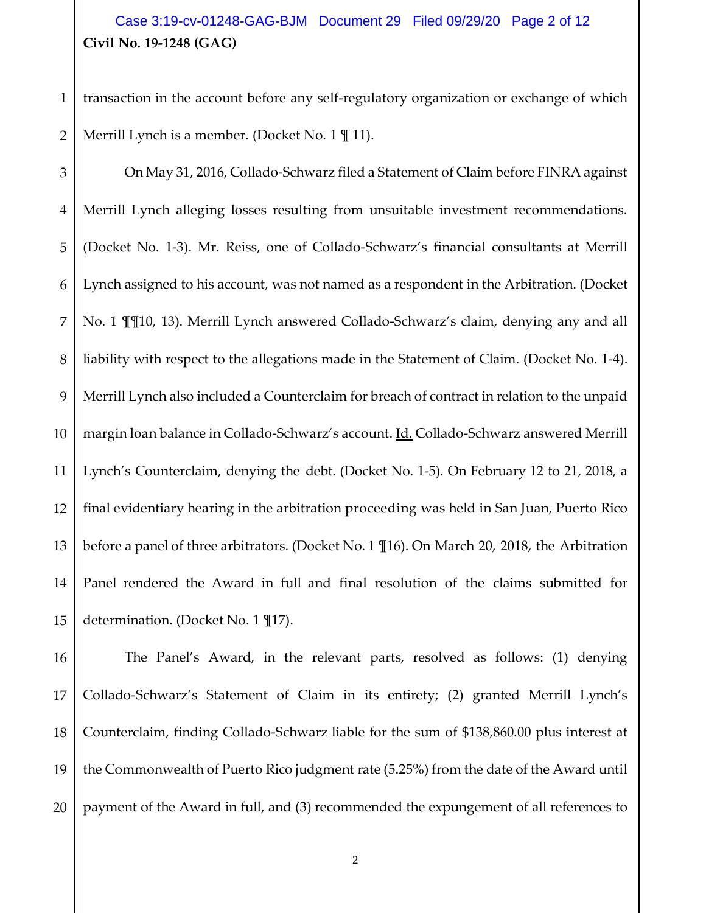# **Civil No. 19-1248 (GAG)** Case 3:19-cv-01248-GAG-BJM Document 29 Filed 09/29/20 Page 2 of 12

1 2 transaction in the account before any self-regulatory organization or exchange of which Merrill Lynch is a member. (Docket No. 1  $\mathbb{I}$  11).

3 4 5 6 7 8 9 10 11 12 13 14 15 On May 31, 2016, Collado-Schwarz filed a Statement of Claim before FINRA against Merrill Lynch alleging losses resulting from unsuitable investment recommendations. (Docket No. 1-3). Mr. Reiss, one of Collado-Schwarz's financial consultants at Merrill Lynch assigned to his account, was not named as a respondent in the Arbitration. (Docket No. 1 ¶¶10, 13). Merrill Lynch answered Collado-Schwarz's claim, denying any and all liability with respect to the allegations made in the Statement of Claim. (Docket No. 1-4). Merrill Lynch also included a Counterclaim for breach of contract in relation to the unpaid margin loan balance in Collado-Schwarz's account. Id. Collado-Schwarz answered Merrill Lynch's Counterclaim, denying the debt. (Docket No. 1-5). On February 12 to 21, 2018, a final evidentiary hearing in the arbitration proceeding was held in San Juan, Puerto Rico before a panel of three arbitrators. (Docket No. 1 ¶16). On March 20, 2018, the Arbitration Panel rendered the Award in full and final resolution of the claims submitted for determination. (Docket No. 1 ¶17).

16 17 18 19 20 The Panel's Award, in the relevant parts, resolved as follows: (1) denying Collado-Schwarz's Statement of Claim in its entirety; (2) granted Merrill Lynch's Counterclaim, finding Collado-Schwarz liable for the sum of \$138,860.00 plus interest at the Commonwealth of Puerto Rico judgment rate (5.25%) from the date of the Award until payment of the Award in full, and (3) recommended the expungement of all references to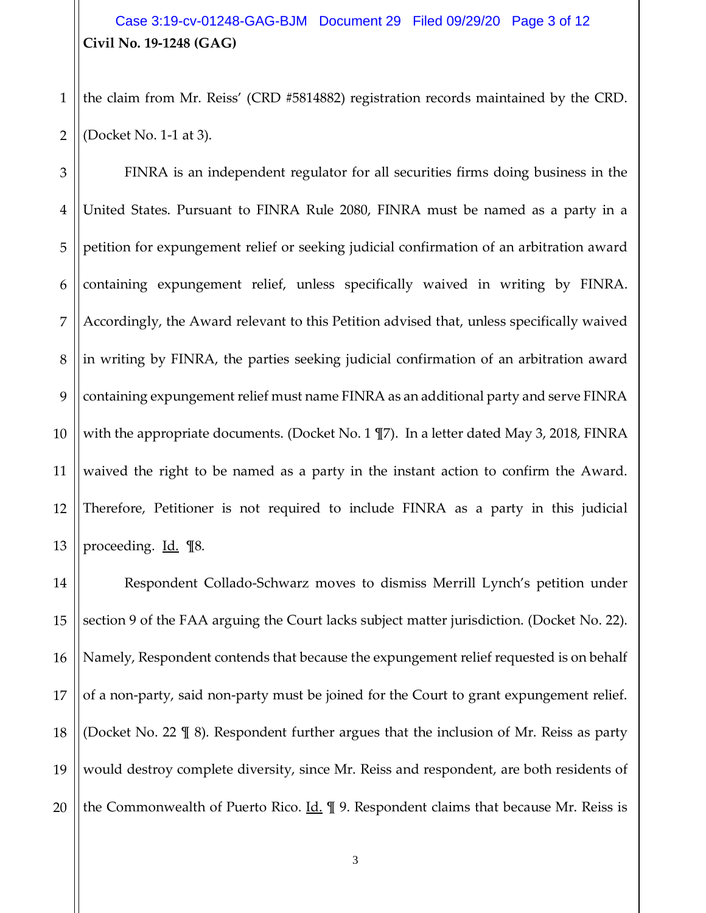## **Civil No. 19-1248 (GAG)** Case 3:19-cv-01248-GAG-BJM Document 29 Filed 09/29/20 Page 3 of 12

1 2 the claim from Mr. Reiss' (CRD #5814882) registration records maintained by the CRD. (Docket No. 1-1 at 3).

3 4 5 6 7 8 9 10 11 12 13 FINRA is an independent regulator for all securities firms doing business in the United States. Pursuant to FINRA Rule 2080, FINRA must be named as a party in a petition for expungement relief or seeking judicial confirmation of an arbitration award containing expungement relief, unless specifically waived in writing by FINRA. Accordingly, the Award relevant to this Petition advised that, unless specifically waived in writing by FINRA, the parties seeking judicial confirmation of an arbitration award containing expungement relief must name FINRA as an additional party and serve FINRA with the appropriate documents. (Docket No. 1 ¶7). In a letter dated May 3, 2018, FINRA waived the right to be named as a party in the instant action to confirm the Award. Therefore, Petitioner is not required to include FINRA as a party in this judicial proceeding. Id. ¶8.

14 15 16 17 18 19 20 Respondent Collado-Schwarz moves to dismiss Merrill Lynch's petition under section 9 of the FAA arguing the Court lacks subject matter jurisdiction. (Docket No. 22). Namely, Respondent contends that because the expungement relief requested is on behalf of a non-party, said non-party must be joined for the Court to grant expungement relief. (Docket No. 22 ¶ 8). Respondent further argues that the inclusion of Mr. Reiss as party would destroy complete diversity, since Mr. Reiss and respondent, are both residents of the Commonwealth of Puerto Rico.  $\underline{Id}$ .  $\P$  9. Respondent claims that because Mr. Reiss is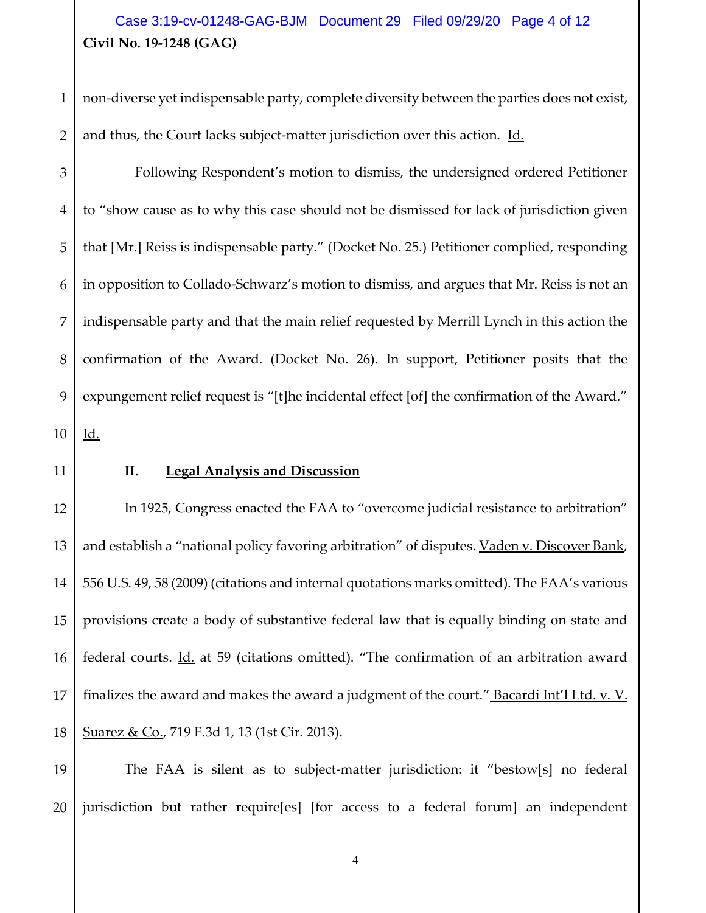## **Civil No. 19-1248 (GAG)** Case 3:19-cv-01248-GAG-BJM Document 29 Filed 09/29/20 Page 4 of 12

1 2 non-diverse yet indispensable party, complete diversity between the parties does not exist, and thus, the Court lacks subject-matter jurisdiction over this action. Id.

3 4 5 6 7 8 9 10 Following Respondent's motion to dismiss, the undersigned ordered Petitioner to "show cause as to why this case should not be dismissed for lack of jurisdiction given that [Mr.] Reiss is indispensable party." (Docket No. 25.) Petitioner complied, responding in opposition to Collado-Schwarz's motion to dismiss, and argues that Mr. Reiss is not an indispensable party and that the main relief requested by Merrill Lynch in this action the confirmation of the Award. (Docket No. 26). In support, Petitioner posits that the expungement relief request is "[t]he incidental effect [of] the confirmation of the Award." Id.

11

#### **II. Legal Analysis and Discussion**

12 13 14 15 16 17 18 In 1925, Congress enacted the FAA to "overcome judicial resistance to arbitration" and establish a "national policy favoring arbitration" of disputes. Vaden v. Discover Bank, 556 U.S. 49, 58 (2009) (citations and internal quotations marks omitted). The FAA's various provisions create a body of substantive federal law that is equally binding on state and federal courts. *Id.* at 59 (citations omitted). "The confirmation of an arbitration award finalizes the award and makes the award a judgment of the court." Bacardi Int'l Ltd. v. V. Suarez & Co., 719 F.3d 1, 13 (1st Cir. 2013).

19 20 The FAA is silent as to subject-matter jurisdiction: it "bestow[s] no federal jurisdiction but rather require[es] [for access to a federal forum] an independent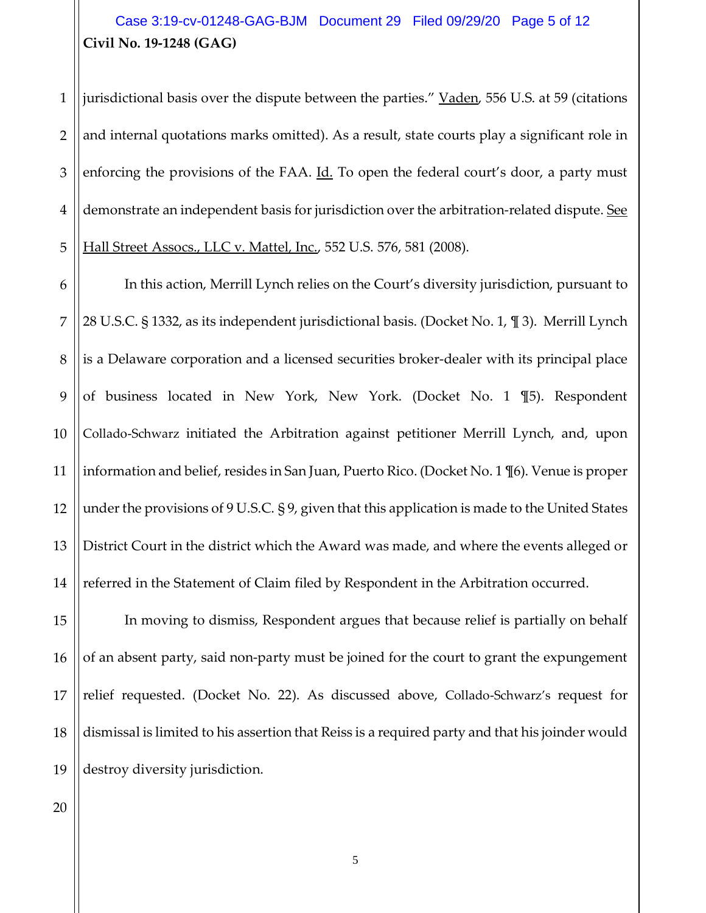# **Civil No. 19-1248 (GAG)** Case 3:19-cv-01248-GAG-BJM Document 29 Filed 09/29/20 Page 5 of 12

1 2 3 4 5 jurisdictional basis over the dispute between the parties." Vaden, 556 U.S. at 59 (citations and internal quotations marks omitted). As a result, state courts play a significant role in enforcing the provisions of the FAA. Id. To open the federal court's door, a party must demonstrate an independent basis for jurisdiction over the arbitration-related dispute. See Hall Street Assocs., LLC v. Mattel, Inc., 552 U.S. 576, 581 (2008).

6 7 8 9 10 11 12 13 14 In this action, Merrill Lynch relies on the Court's diversity jurisdiction, pursuant to 28 U.S.C. § 1332, as its independent jurisdictional basis. (Docket No. 1, ¶ 3). Merrill Lynch is a Delaware corporation and a licensed securities broker-dealer with its principal place of business located in New York, New York. (Docket No. 1 ¶5). Respondent Collado-Schwarz initiated the Arbitration against petitioner Merrill Lynch, and, upon information and belief, resides in San Juan, Puerto Rico. (Docket No. 1 ¶6). Venue is proper under the provisions of 9 U.S.C. § 9, given that this application is made to the United States District Court in the district which the Award was made, and where the events alleged or referred in the Statement of Claim filed by Respondent in the Arbitration occurred.

15 16 17 18 19 In moving to dismiss, Respondent argues that because relief is partially on behalf of an absent party, said non-party must be joined for the court to grant the expungement relief requested. (Docket No. 22). As discussed above, Collado-Schwarz's request for dismissal is limited to his assertion that Reiss is a required party and that his joinder would destroy diversity jurisdiction.

20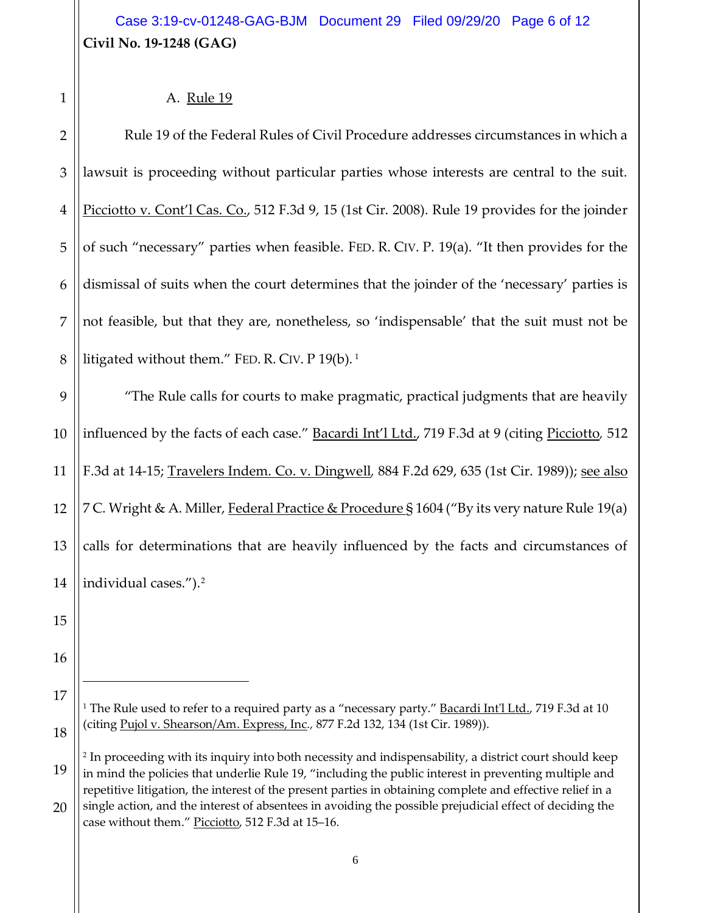# **Civil No. 19-1248 (GAG)** Case 3:19-cv-01248-GAG-BJM Document 29 Filed 09/29/20 Page 6 of 12

#### A. Rule 19

2 3 4 5 6 7 8 Rule 19 of the Federal Rules of Civil Procedure addresses circumstances in which a lawsuit is proceeding without particular parties whose interests are central to the suit. Picciotto v. Cont'l Cas. Co., 512 F.3d 9, 15 (1st Cir. 2008). Rule 19 provides for the joinder of such "necessary" parties when feasible. FED. R. CIV. P. 19(a). "It then provides for the dismissal of suits when the court determines that the joinder of the 'necessary' parties is not feasible, but that they are, nonetheless, so 'indispensable' that the suit must not be litigated without them." FED. R. CIV. P [1](#page-5-0)9(b).<sup>1</sup>

9 10 11 12 13 14 "The Rule calls for courts to make pragmatic, practical judgments that are heavily influenced by the facts of each case." Bacardi Int'l Ltd., 719 F.3d at 9 (citing Picciotto*,* 512 F.3d at 14-15; Travelers Indem. Co. v. Dingwell*,* 884 F.2d 629, 635 (1st Cir. 1989)); see also 7 C. Wright & A. Miller, Federal Practice & Procedure § 1604 ("By its very nature Rule 19(a) calls for determinations that are heavily influenced by the facts and circumstances of individual cases.").[2](#page-5-1)

- 15
- 16
- <span id="page-5-0"></span>17

Ξ

<sup>1</sup>

<sup>18</sup>

<sup>&</sup>lt;sup>1</sup> The Rule used to refer to a required party as a "necessary party." **Bacardi Int'l Ltd.**, 719 F.3d at 10 (citing Pujol v. Shearson/Am. Express, Inc*.,* 877 F.2d 132, 134 (1st Cir. 1989)).

<span id="page-5-1"></span><sup>19</sup> <sup>2</sup> In proceeding with its inquiry into both necessity and indispensability, a district court should keep in mind the policies that underlie Rule 19, "including the public interest in preventing multiple and repetitive litigation, the interest of the present parties in obtaining complete and effective relief in a single action, and the interest of absentees in avoiding the possible prejudicial effect of deciding the

<sup>20</sup> case without them." Picciotto, 512 F.3d at 15–16.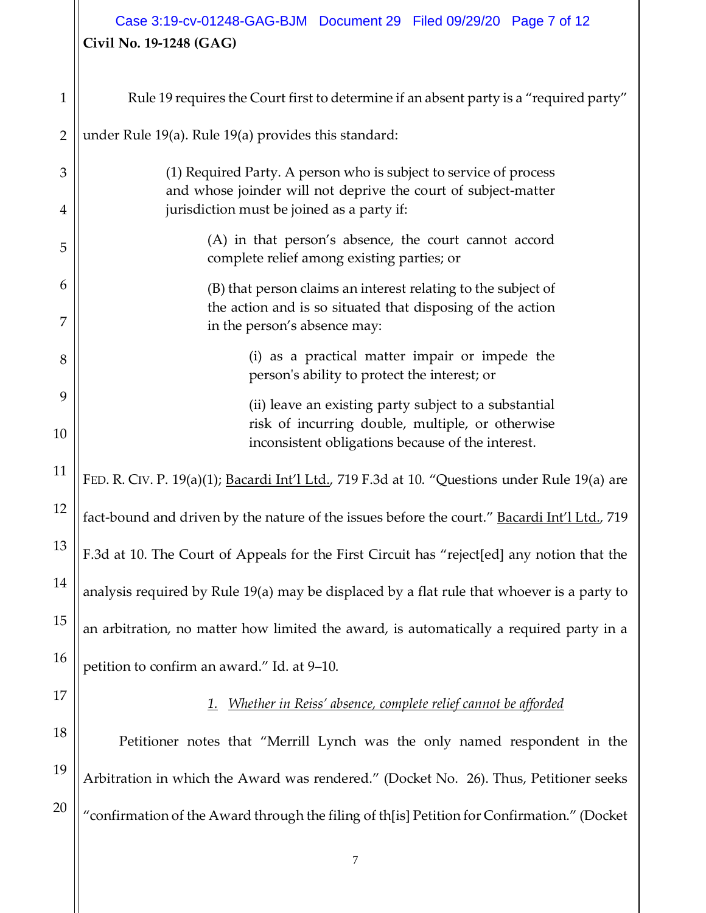# **Civil No. 19-1248 (GAG)** Case 3:19-cv-01248-GAG-BJM Document 29 Filed 09/29/20 Page 7 of 12

| 1              | Rule 19 requires the Court first to determine if an absent party is a "required party"                                                                      |
|----------------|-------------------------------------------------------------------------------------------------------------------------------------------------------------|
| $\overline{2}$ | under Rule 19(a). Rule 19(a) provides this standard:                                                                                                        |
| 3              | (1) Required Party. A person who is subject to service of process<br>and whose joinder will not deprive the court of subject-matter                         |
| 4              | jurisdiction must be joined as a party if:                                                                                                                  |
| 5              | (A) in that person's absence, the court cannot accord<br>complete relief among existing parties; or                                                         |
| 6<br>7         | (B) that person claims an interest relating to the subject of<br>the action and is so situated that disposing of the action<br>in the person's absence may: |
| 8              | (i) as a practical matter impair or impede the<br>person's ability to protect the interest; or                                                              |
| 9              | (ii) leave an existing party subject to a substantial                                                                                                       |
| 10             | risk of incurring double, multiple, or otherwise<br>inconsistent obligations because of the interest.                                                       |
| 11             | FED. R. CIV. P. 19(a)(1); Bacardi Int'l Ltd., 719 F.3d at 10. "Questions under Rule 19(a) are                                                               |
| 12             | fact-bound and driven by the nature of the issues before the court." Bacardi Int'l Ltd., 719                                                                |
| 13             | F.3d at 10. The Court of Appeals for the First Circuit has "reject[ed] any notion that the                                                                  |
| 14             | analysis required by Rule 19(a) may be displaced by a flat rule that whoever is a party to                                                                  |
| 15             | an arbitration, no matter how limited the award, is automatically a required party in a                                                                     |
| 16             | petition to confirm an award." Id. at 9-10.                                                                                                                 |
| 17             | Whether in Reiss' absence, complete relief cannot be afforded                                                                                               |
| 18             | Petitioner notes that "Merrill Lynch was the only named respondent in the                                                                                   |
| 19             | Arbitration in which the Award was rendered." (Docket No. 26). Thus, Petitioner seeks                                                                       |
| 20             | "confirmation of the Award through the filing of th[is] Petition for Confirmation." (Docket                                                                 |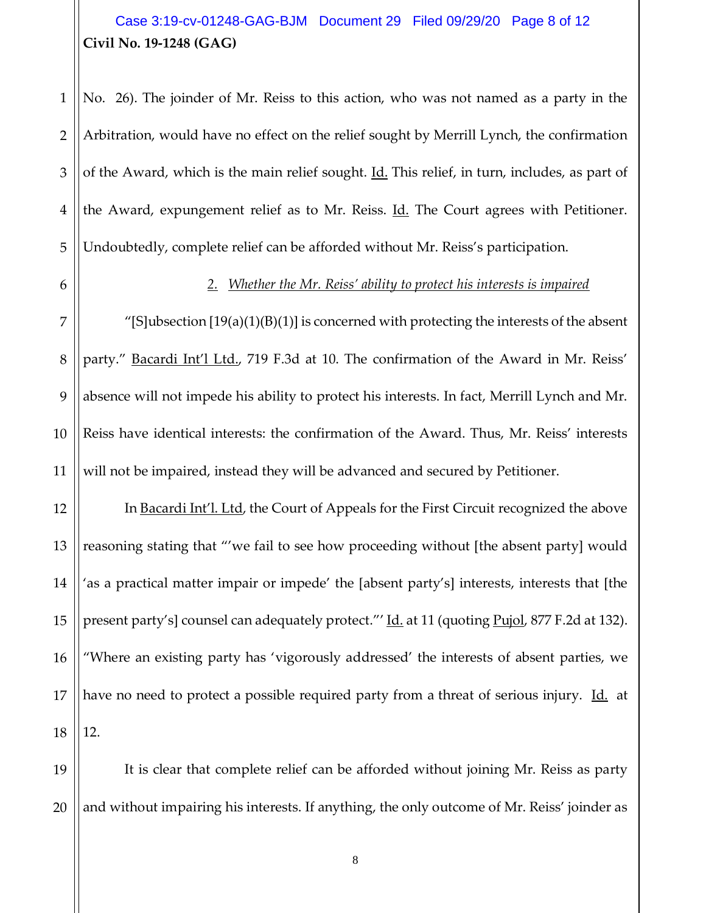## **Civil No. 19-1248 (GAG)** Case 3:19-cv-01248-GAG-BJM Document 29 Filed 09/29/20 Page 8 of 12

1 2 3 4 5 No. 26). The joinder of Mr. Reiss to this action, who was not named as a party in the Arbitration, would have no effect on the relief sought by Merrill Lynch, the confirmation of the Award, which is the main relief sought. Id. This relief, in turn, includes, as part of the Award, expungement relief as to Mr. Reiss. Id. The Court agrees with Petitioner. Undoubtedly, complete relief can be afforded without Mr. Reiss's participation.

6

#### *2. Whether the Mr. Reiss' ability to protect his interests is impaired*

7 8 9 10 11 "[S]ubsection  $[19(a)(1)(B)(1)]$  is concerned with protecting the interests of the absent party." Bacardi Int'l Ltd., 719 F.3d at 10. The confirmation of the Award in Mr. Reiss' absence will not impede his ability to protect his interests. In fact, Merrill Lynch and Mr. Reiss have identical interests: the confirmation of the Award. Thus, Mr. Reiss' interests will not be impaired, instead they will be advanced and secured by Petitioner.

12 13 14 15 16 17 18 In Bacardi Int'l. Ltd, the Court of Appeals for the First Circuit recognized the above reasoning stating that "'we fail to see how proceeding without [the absent party] would 'as a practical matter impair or impede' the [absent party's] interests, interests that [the present party's] counsel can adequately protect."' Id. at 11 (quoting Pujol, 877 F.2d at 132). "Where an existing party has 'vigorously addressed' the interests of absent parties, we have no need to protect a possible required party from a threat of serious injury. Id. at 12.

19 20 It is clear that complete relief can be afforded without joining Mr. Reiss as party and without impairing his interests. If anything, the only outcome of Mr. Reiss' joinder as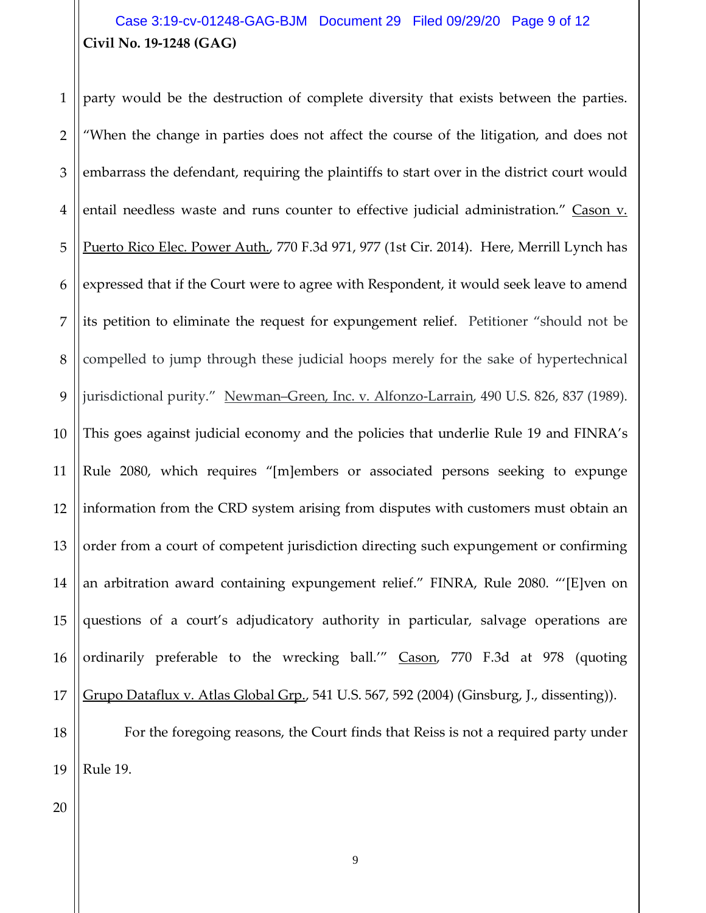### **Civil No. 19-1248 (GAG)** Case 3:19-cv-01248-GAG-BJM Document 29 Filed 09/29/20 Page 9 of 12

1 2 3 4 5 6 7 8 9 10 11 12 13 14 15 16 17 18 party would be the destruction of complete diversity that exists between the parties. "When the change in parties does not affect the course of the litigation, and does not embarrass the defendant, requiring the plaintiffs to start over in the district court would entail needless waste and runs counter to effective judicial administration." Cason v. Puerto Rico Elec. Power Auth., 770 F.3d 971, 977 (1st Cir. 2014). Here, Merrill Lynch has expressed that if the Court were to agree with Respondent, it would seek leave to amend its petition to eliminate the request for expungement relief. Petitioner "should not be compelled to jump through these judicial hoops merely for the sake of hypertechnical jurisdictional purity." Newman–Green, Inc. v. Alfonzo-Larrain, 490 U.S. 826, 837 (1989). This goes against judicial economy and the policies that underlie Rule 19 and FINRA's Rule 2080, which requires "[m]embers or associated persons seeking to expunge information from the CRD system arising from disputes with customers must obtain an order from a court of competent jurisdiction directing such expungement or confirming an arbitration award containing expungement relief." FINRA, Rule 2080. "'[E]ven on questions of a court's adjudicatory authority in particular, salvage operations are ordinarily preferable to the wrecking ball.'" Cason, 770 F.3d at 978 (quoting Grupo Dataflux v. Atlas Global Grp., 541 U.S. 567, 592 (2004) (Ginsburg, J., dissenting)). For the foregoing reasons, the Court finds that Reiss is not a required party under

19

Rule 19.

20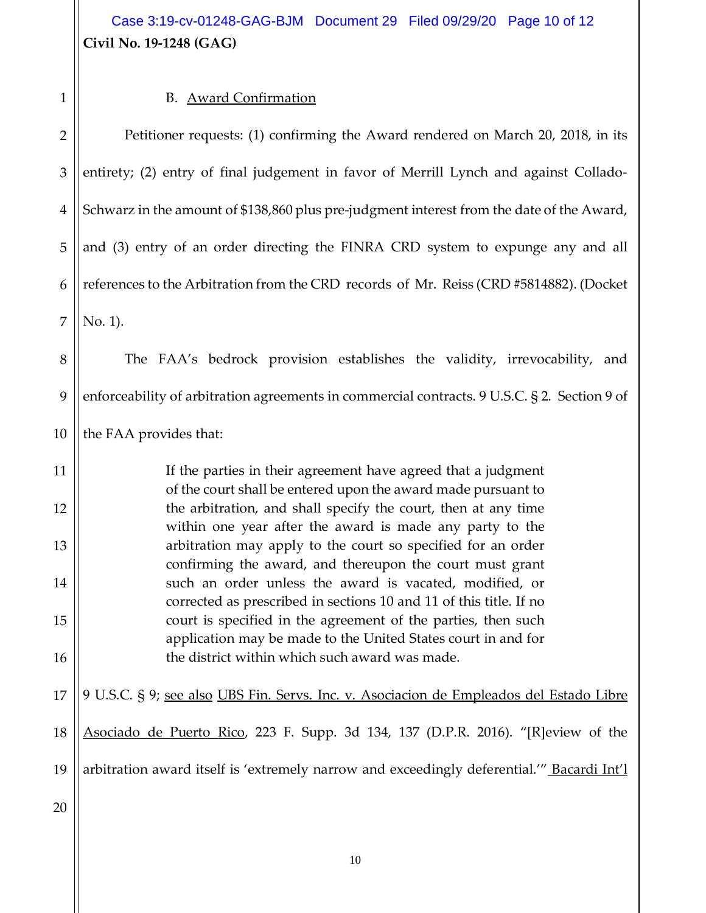**Civil No. 19-1248 (GAG)** Case 3:19-cv-01248-GAG-BJM Document 29 Filed 09/29/20 Page 10 of 12

1

# B. Award Confirmation

| $\overline{2}$ | Petitioner requests: (1) confirming the Award rendered on March 20, 2018, in its                                               |
|----------------|--------------------------------------------------------------------------------------------------------------------------------|
| 3              | entirety; (2) entry of final judgement in favor of Merrill Lynch and against Collado-                                          |
| $\overline{4}$ | Schwarz in the amount of \$138,860 plus pre-judgment interest from the date of the Award,                                      |
| 5              | and (3) entry of an order directing the FINRA CRD system to expunge any and all                                                |
| 6              | references to the Arbitration from the CRD records of Mr. Reiss (CRD #5814882). (Docket                                        |
| 7              | No. 1).                                                                                                                        |
| 8              | The FAA's bedrock provision establishes the validity, irrevocability, and                                                      |
| 9              | enforceability of arbitration agreements in commercial contracts. 9 U.S.C. § 2. Section 9 of                                   |
| 10             | the FAA provides that:                                                                                                         |
| 11             | If the parties in their agreement have agreed that a judgment<br>of the court shall be entered upon the award made pursuant to |
| 12             | the arbitration, and shall specify the court, then at any time<br>within one year after the award is made any party to the     |
| 13             | arbitration may apply to the court so specified for an order<br>confirming the award, and thereupon the court must grant       |
| 14             | such an order unless the award is vacated, modified, or<br>corrected as prescribed in sections 10 and 11 of this title. If no  |
| 15             | court is specified in the agreement of the parties, then such<br>application may be made to the United States court in and for |
| 16             | the district within which such award was made.                                                                                 |
| 17             | 9 U.S.C. § 9; see also UBS Fin. Servs. Inc. v. Asociacion de Empleados del Estado Libre                                        |
| 18             | Asociado de Puerto Rico, 223 F. Supp. 3d 134, 137 (D.P.R. 2016). "[R]eview of the                                              |
| 19             | arbitration award itself is 'extremely narrow and exceedingly deferential." Bacardi Int'l                                      |
| 20             |                                                                                                                                |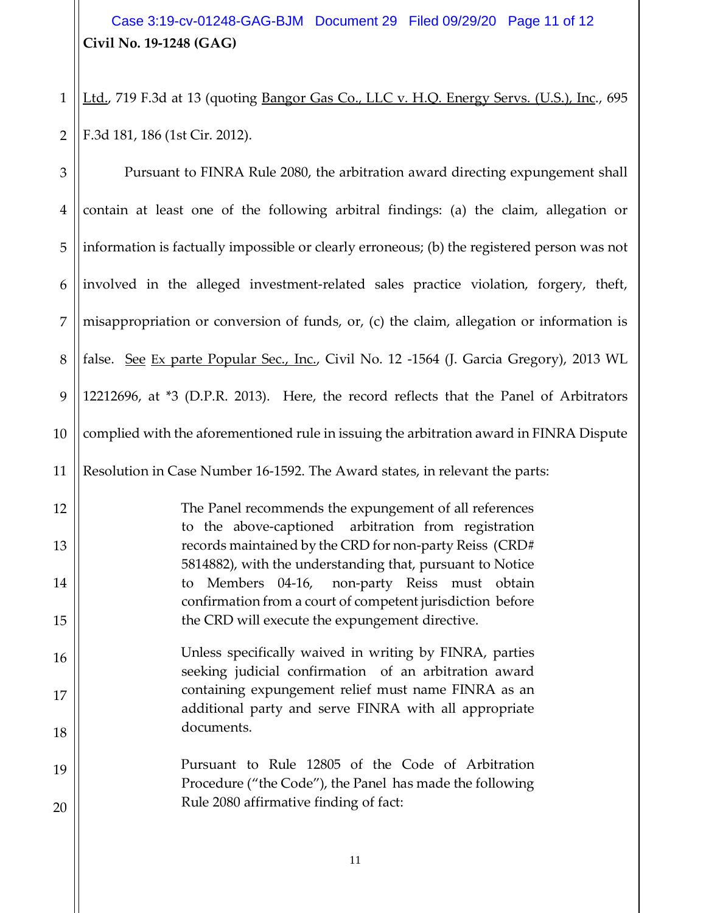**Civil No. 19-1248 (GAG)** Case 3:19-cv-01248-GAG-BJM Document 29 Filed 09/29/20 Page 11 of 12

1 2 Ltd., 719 F.3d at 13 (quoting Bangor Gas Co., LLC v. H.Q. Energy Servs. (U.S.), Inc., 695 F.3d 181, 186 (1st Cir. 2012).

| $\mathfrak{Z}$ | Pursuant to FINRA Rule 2080, the arbitration award directing expungement shall                                       |
|----------------|----------------------------------------------------------------------------------------------------------------------|
| $\overline{4}$ | contain at least one of the following arbitral findings: (a) the claim, allegation or                                |
| 5              | information is factually impossible or clearly erroneous; (b) the registered person was not                          |
| 6              | involved in the alleged investment-related sales practice violation, forgery, theft,                                 |
| 7              | misappropriation or conversion of funds, or, (c) the claim, allegation or information is                             |
| 8              | false. See Ex parte Popular Sec., Inc., Civil No. 12 -1564 (J. Garcia Gregory), 2013 WL                              |
| 9              | 12212696, at *3 (D.P.R. 2013). Here, the record reflects that the Panel of Arbitrators                               |
| 10             | complied with the aforementioned rule in issuing the arbitration award in FINRA Dispute                              |
| 11             | Resolution in Case Number 16-1592. The Award states, in relevant the parts:                                          |
| 12             | The Panel recommends the expungement of all references<br>to the above-captioned arbitration from registration       |
| 13             | records maintained by the CRD for non-party Reiss (CRD#<br>5814882), with the understanding that, pursuant to Notice |
| 14             | Members 04-16, non-party Reiss must obtain<br>to<br>confirmation from a court of competent jurisdiction before       |
| 15             | the CRD will execute the expungement directive.                                                                      |
| 16             | Unless specifically waived in writing by FINRA, parties<br>seeking judicial confirmation of an arbitration award     |
| 17             | containing expungement relief must name FINRA as an<br>additional party and serve FINRA with all appropriate         |
| 18             | documents.                                                                                                           |
| 19             | Pursuant to Rule 12805 of the Code of Arbitration<br>Procedure ("the Code"), the Panel has made the following        |
| 20             | Rule 2080 affirmative finding of fact:                                                                               |